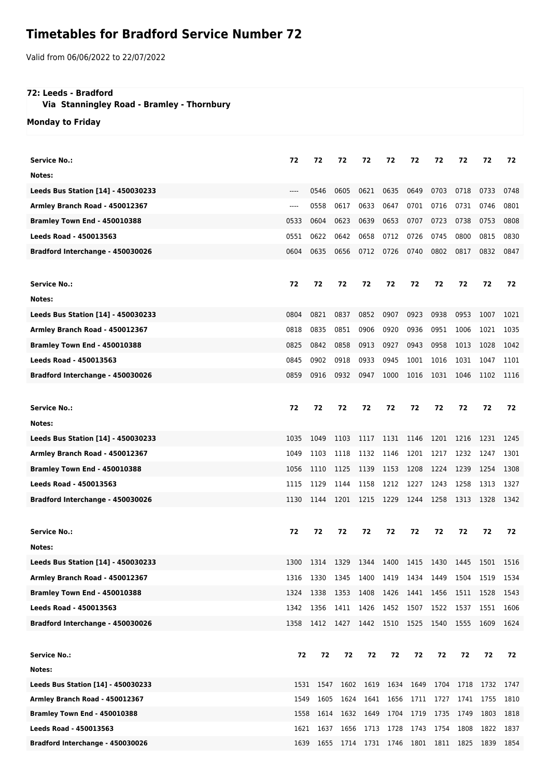## **Timetables for Bradford Service Number 72**

Valid from 06/06/2022 to 22/07/2022

## **72: Leeds - Bradford**

 **Via Stanningley Road - Bramley - Thornbury**

**Monday to Friday**

| <b>Service No.:</b>                       | 72    | 72   | 72   | 72                                                | 72        | 72             | 72        | 72        | 72        | 72   |
|-------------------------------------------|-------|------|------|---------------------------------------------------|-----------|----------------|-----------|-----------|-----------|------|
| Notes:                                    |       |      |      |                                                   |           |                |           |           |           |      |
| Leeds Bus Station [14] - 450030233        | ----  | 0546 | 0605 | 0621                                              | 0635      | 0649           | 0703      | 0718      | 0733      | 0748 |
|                                           |       | 0558 | 0617 |                                                   | 0647      | 0701           | 0716      | 0731      |           | 0801 |
| Armley Branch Road - 450012367            | $---$ |      |      | 0633                                              |           |                |           |           | 0746      |      |
| Bramley Town End - 450010388              | 0533  | 0604 | 0623 | 0639                                              | 0653      | 0707           | 0723      | 0738      | 0753      | 0808 |
| <b>Leeds Road - 450013563</b>             | 0551  | 0622 | 0642 | 0658                                              | 0712      | 0726           | 0745      | 0800      | 0815      | 0830 |
| Bradford Interchange - 450030026          | 0604  | 0635 | 0656 | 0712                                              | 0726      | 0740           | 0802      | 0817      | 0832      | 0847 |
|                                           |       |      |      |                                                   |           |                |           |           |           |      |
| <b>Service No.:</b>                       | 72    | 72   | 72   | 72                                                | 72        | 72             | 72        | 72        | 72        | 72   |
| Notes:                                    |       |      |      |                                                   |           |                |           |           |           |      |
| Leeds Bus Station [14] - 450030233        | 0804  | 0821 | 0837 | 0852                                              | 0907      | 0923           | 0938      | 0953      | 1007      | 1021 |
| Armley Branch Road - 450012367            | 0818  | 0835 | 0851 | 0906                                              | 0920      | 0936           | 0951      | 1006      | 1021      | 1035 |
| Bramley Town End - 450010388              | 0825  | 0842 | 0858 | 0913                                              | 0927      | 0943           | 0958      | 1013      | 1028      | 1042 |
| <b>Leeds Road - 450013563</b>             | 0845  | 0902 | 0918 | 0933                                              | 0945      | 1001           | 1016      | 1031      | 1047      | 1101 |
| Bradford Interchange - 450030026          | 0859  | 0916 | 0932 | 0947                                              | 1000      | 1016           | 1031      | 1046      | 1102      | 1116 |
|                                           |       |      |      |                                                   |           |                |           |           |           |      |
| <b>Service No.:</b>                       | 72    | 72   | 72   | 72                                                | 72        | 72             | 72        | 72        | 72        | 72   |
| Notes:                                    |       |      |      |                                                   |           |                |           |           |           |      |
| <b>Leeds Bus Station [14] - 450030233</b> | 1035  | 1049 | 1103 | 1117                                              | 1131      | 1146           | 1201      | 1216      | 1231      | 1245 |
| Armley Branch Road - 450012367            | 1049  | 1103 | 1118 | 1132                                              | 1146      | 1201           | 1217      | 1232      | 1247      | 1301 |
| Bramley Town End - 450010388              | 1056  | 1110 | 1125 | 1139                                              | 1153      | 1208           | 1224      | 1239      | 1254      | 1308 |
| <b>Leeds Road - 450013563</b>             | 1115  | 1129 | 1144 | 1158                                              | 1212      | 1227           | 1243      | 1258      | 1313      | 1327 |
| Bradford Interchange - 450030026          | 1130  | 1144 | 1201 | 1215                                              | 1229      | 1244           | 1258      | 1313      | 1328      | 1342 |
|                                           |       |      |      |                                                   |           |                |           |           |           |      |
| <b>Service No.:</b>                       | 72    | 72   | 72   | 72                                                | 72        | 72             | 72        | 72        | 72        | 72   |
| Notes:                                    |       |      |      |                                                   |           |                |           |           |           |      |
| Leeds Bus Station [14] - 450030233        | 1300  | 1314 | 1329 | 1344                                              | 1400      | 1415           | 1430      | 1445      | 1501      | 1516 |
| Armley Branch Road - 450012367            | 1316  | 1330 | 1345 | 1400                                              | 1419      | 1434           | 1449      | 1504      | 1519      | 1534 |
| Bramley Town End - 450010388              | 1324  | 1338 | 1353 | 1408                                              | 1426      | 1441           | 1456      | 1511      | 1528      | 1543 |
| <b>Leeds Road - 450013563</b>             | 1342  | 1356 | 1411 | 1426                                              | 1452 1507 |                | 1522      | 1537      | 1551      | 1606 |
| Bradford Interchange - 450030026          | 1358  |      |      | 1412 1427 1442 1510 1525 1540                     |           |                |           | 1555 1609 |           | 1624 |
|                                           |       |      |      |                                                   |           |                |           |           |           |      |
| <b>Service No.:</b>                       | 72    | 72   | 72   | 72                                                | 72        | 72             | 72        | 72        | 72        | 72   |
| Notes:                                    |       |      |      |                                                   |           |                |           |           |           |      |
| Leeds Bus Station [14] - 450030233        | 1531  | 1547 | 1602 | 1619                                              |           | 1634 1649 1704 |           | 1718      | 1732 1747 |      |
| Armley Branch Road - 450012367            | 1549  | 1605 | 1624 |                                                   | 1641 1656 |                | 1711 1727 | 1741      | 1755      | 1810 |
| <b>Bramley Town End - 450010388</b>       | 1558  | 1614 | 1632 | 1649                                              | 1704      | 1719           | 1735      | 1749      | 1803      | 1818 |
| Leeds Road - 450013563                    | 1621  | 1637 |      | 1656 1713 1728                                    |           |                | 1743 1754 | 1808      | 1822      | 1837 |
| Bradford Interchange - 450030026          |       |      |      | 1639 1655 1714 1731 1746 1801 1811 1825 1839 1854 |           |                |           |           |           |      |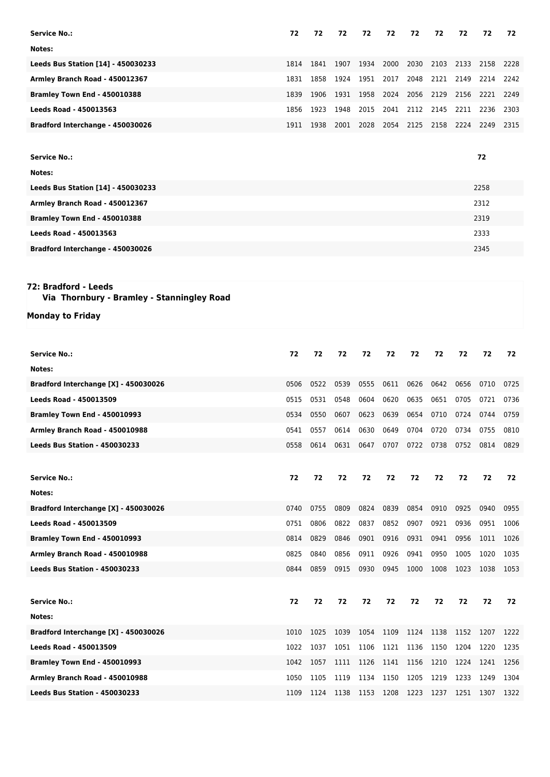| <b>Service No.:</b>                                                | 72   | 72   | 72   | 72   | 72        | 72   | 72                                      | 72   | 72   | 72   |
|--------------------------------------------------------------------|------|------|------|------|-----------|------|-----------------------------------------|------|------|------|
| Notes:                                                             |      |      |      |      |           |      |                                         |      |      |      |
| <b>Leeds Bus Station [14] - 450030233</b>                          | 1814 | 1841 | 1907 | 1934 | 2000      | 2030 | 2103                                    | 2133 | 2158 | 2228 |
| Armley Branch Road - 450012367                                     | 1831 | 1858 | 1924 | 1951 | 2017      | 2048 | 2121                                    | 2149 | 2214 | 2242 |
| Bramley Town End - 450010388                                       | 1839 | 1906 | 1931 | 1958 | 2024      | 2056 | 2129                                    | 2156 | 2221 | 2249 |
| <b>Leeds Road - 450013563</b>                                      | 1856 | 1923 | 1948 | 2015 | 2041      | 2112 | 2145                                    | 2211 | 2236 | 2303 |
| Bradford Interchange - 450030026                                   | 1911 | 1938 | 2001 | 2028 | 2054      | 2125 | 2158                                    | 2224 | 2249 | 2315 |
|                                                                    |      |      |      |      |           |      |                                         |      |      |      |
| <b>Service No.:</b>                                                |      |      |      |      |           |      |                                         |      | 72   |      |
| Notes:                                                             |      |      |      |      |           |      |                                         |      |      |      |
| Leeds Bus Station [14] - 450030233                                 |      |      |      |      |           |      |                                         |      | 2258 |      |
| Armley Branch Road - 450012367                                     |      |      |      |      |           |      |                                         |      | 2312 |      |
| Bramley Town End - 450010388                                       |      |      |      |      |           |      |                                         |      | 2319 |      |
| Leeds Road - 450013563                                             |      |      |      |      |           |      |                                         |      | 2333 |      |
| Bradford Interchange - 450030026                                   |      |      |      |      |           |      |                                         |      | 2345 |      |
|                                                                    |      |      |      |      |           |      |                                         |      |      |      |
|                                                                    |      |      |      |      |           |      |                                         |      |      |      |
| 72: Bradford - Leeds<br>Via Thornbury - Bramley - Stanningley Road |      |      |      |      |           |      |                                         |      |      |      |
| <b>Monday to Friday</b>                                            |      |      |      |      |           |      |                                         |      |      |      |
|                                                                    |      |      |      |      |           |      |                                         |      |      |      |
|                                                                    |      |      |      |      |           |      |                                         |      |      |      |
| <b>Service No.:</b>                                                | 72   | 72   | 72   | 72   | 72        | 72   | 72                                      | 72   | 72   | 72   |
| Notes:                                                             |      |      |      |      |           |      |                                         |      |      |      |
| Bradford Interchange [X] - 450030026                               | 0506 | 0522 | 0539 | 0555 | 0611      | 0626 | 0642                                    | 0656 | 0710 | 0725 |
| <b>Leeds Road - 450013509</b>                                      | 0515 | 0531 | 0548 | 0604 | 0620      | 0635 | 0651                                    | 0705 | 0721 | 0736 |
| Bramley Town End - 450010993                                       | 0534 | 0550 | 0607 | 0623 | 0639      | 0654 | 0710                                    | 0724 | 0744 | 0759 |
| Armley Branch Road - 450010988                                     | 0541 | 0557 | 0614 | 0630 | 0649      | 0704 | 0720                                    | 0734 | 0755 | 0810 |
| <b>Leeds Bus Station - 450030233</b>                               | 0558 | 0614 |      |      |           |      | 0631 0647 0707 0722 0738 0752 0814 0829 |      |      |      |
|                                                                    |      |      |      |      |           |      |                                         |      |      |      |
| <b>Service No.:</b>                                                | 72   | 72   | 72   | 72   | 72        | 72   | 72                                      | 72   | 72   | 72   |
| Notes:                                                             |      |      |      |      |           |      |                                         |      |      |      |
| Bradford Interchange [X] - 450030026                               | 0740 | 0755 | 0809 | 0824 | 0839      | 0854 | 0910                                    | 0925 | 0940 | 0955 |
| <b>Leeds Road - 450013509</b>                                      | 0751 | 0806 | 0822 | 0837 | 0852      | 0907 | 0921                                    | 0936 | 0951 | 1006 |
| Bramley Town End - 450010993                                       | 0814 | 0829 | 0846 |      |           |      |                                         | 0956 | 1011 | 1026 |
| Armley Branch Road - 450010988                                     |      |      |      | 0901 | 0916      | 0931 | 0941                                    |      |      |      |
|                                                                    | 0825 | 0840 | 0856 | 0911 | 0926      | 0941 | 0950                                    | 1005 | 1020 | 1035 |
| <b>Leeds Bus Station - 450030233</b>                               | 0844 | 0859 | 0915 | 0930 | 0945      | 1000 | 1008                                    | 1023 | 1038 | 1053 |
|                                                                    |      |      |      |      |           |      |                                         |      |      |      |
| <b>Service No.:</b>                                                | 72   | 72   | 72   | 72   | 72        | 72   | 72                                      | 72   | 72   | 72   |
| Notes:                                                             |      |      |      |      |           |      |                                         |      |      |      |
| Bradford Interchange [X] - 450030026                               | 1010 | 1025 | 1039 | 1054 | 1109      | 1124 | 1138                                    | 1152 | 1207 | 1222 |
| Leeds Road - 450013509                                             | 1022 | 1037 | 1051 | 1106 | 1121 1136 |      | 1150                                    | 1204 | 1220 | 1235 |
| Bramley Town End - 450010993                                       | 1042 | 1057 | 1111 | 1126 | 1141 1156 |      | 1210                                    | 1224 | 1241 | 1256 |
| Armley Branch Road - 450010988                                     | 1050 | 1105 | 1119 | 1134 | 1150 1205 |      | 1219                                    | 1233 | 1249 | 1304 |